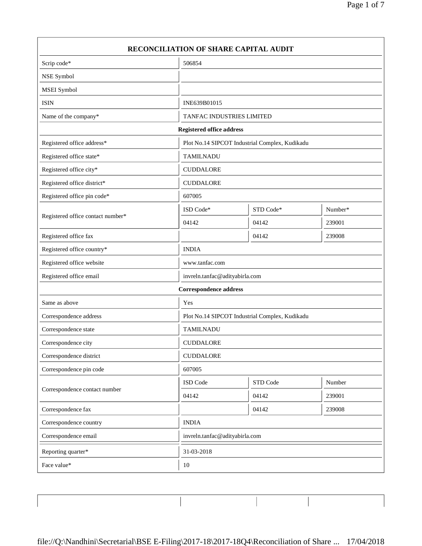| Scrip code*                       | 506854                                         |                                                |         |
|-----------------------------------|------------------------------------------------|------------------------------------------------|---------|
|                                   |                                                |                                                |         |
| NSE Symbol                        |                                                |                                                |         |
| MSEI Symbol                       |                                                |                                                |         |
| <b>ISIN</b>                       | INE639B01015                                   |                                                |         |
| Name of the company*              | TANFAC INDUSTRIES LIMITED                      |                                                |         |
|                                   | <b>Registered office address</b>               |                                                |         |
| Registered office address*        |                                                | Plot No.14 SIPCOT Industrial Complex, Kudikadu |         |
| Registered office state*          | <b>TAMILNADU</b>                               |                                                |         |
| Registered office city*           | <b>CUDDALORE</b>                               |                                                |         |
| Registered office district*       | <b>CUDDALORE</b>                               |                                                |         |
| Registered office pin code*       | 607005                                         |                                                |         |
|                                   | ISD Code*                                      | STD Code*                                      | Number* |
| Registered office contact number* | 04142                                          | 04142                                          | 239001  |
| Registered office fax             |                                                | 04142                                          | 239008  |
| Registered office country*        | <b>INDIA</b>                                   |                                                |         |
| Registered office website         | www.tanfac.com                                 |                                                |         |
| Registered office email           | invreln.tanfac@adityabirla.com                 |                                                |         |
|                                   | <b>Correspondence address</b>                  |                                                |         |
| Same as above                     | Yes                                            |                                                |         |
| Correspondence address            | Plot No.14 SIPCOT Industrial Complex, Kudikadu |                                                |         |
| Correspondence state              | <b>TAMILNADU</b>                               |                                                |         |
| Correspondence city               | <b>CUDDALORE</b>                               |                                                |         |
| Correspondence district           | <b>CUDDALORE</b>                               |                                                |         |
| Correspondence pin code           | 607005                                         |                                                |         |
|                                   | ISD Code                                       | STD Code                                       | Number  |
| Correspondence contact number     | 04142                                          | 04142                                          | 239001  |
| Correspondence fax                |                                                | 04142                                          | 239008  |
| Correspondence country            | <b>INDIA</b>                                   |                                                |         |
| Correspondence email              |                                                | invreln.tanfac@adityabirla.com                 |         |
| Reporting quarter*                | 31-03-2018                                     |                                                |         |
| Face value*                       | $10\,$                                         |                                                |         |

 $\overline{\phantom{a}}$ 

 $\overline{\mathbf{1}}$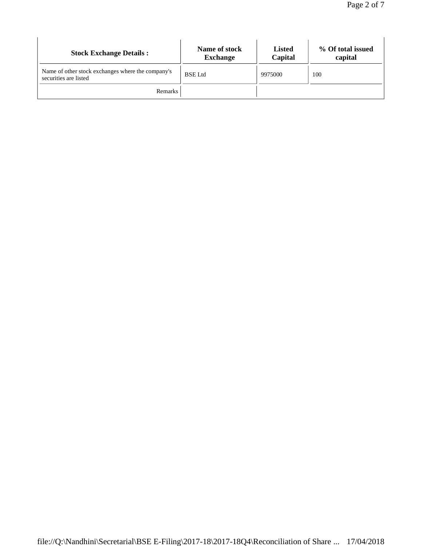| <b>Stock Exchange Details:</b>                                             | Name of stock<br><b>Exchange</b> | <b>Listed</b><br>Capital | % Of total issued<br>capital |
|----------------------------------------------------------------------------|----------------------------------|--------------------------|------------------------------|
| Name of other stock exchanges where the company's<br>securities are listed | <b>BSE</b> Ltd                   | 9975000                  | 100                          |
| Remarks                                                                    |                                  |                          |                              |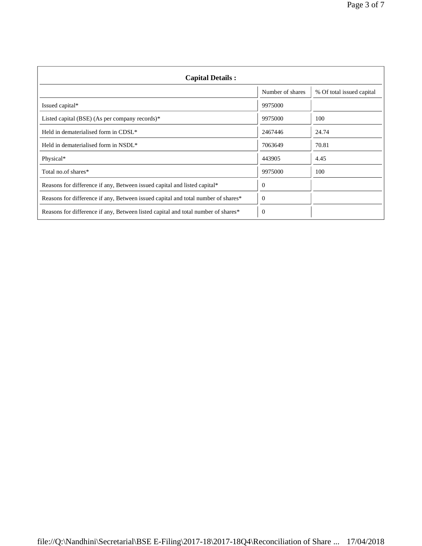| <b>Capital Details:</b>                                                           |                  |                           |
|-----------------------------------------------------------------------------------|------------------|---------------------------|
|                                                                                   | Number of shares | % Of total issued capital |
| Issued capital*                                                                   | 9975000          |                           |
| Listed capital (BSE) (As per company records) <sup>*</sup>                        | 9975000          | 100                       |
| Held in dematerialised form in CDSL*                                              | 2467446          | 24.74                     |
| Held in dematerialised form in NSDL <sup>*</sup>                                  | 7063649          | 70.81                     |
| Physical*                                                                         | 443905           | 4.45                      |
| Total no.of shares*                                                               | 9975000          | 100                       |
| Reasons for difference if any, Between issued capital and listed capital*         | $\Omega$         |                           |
| Reasons for difference if any, Between issued capital and total number of shares* | $\mathbf{0}$     |                           |
| Reasons for difference if any, Between listed capital and total number of shares* | $\overline{0}$   |                           |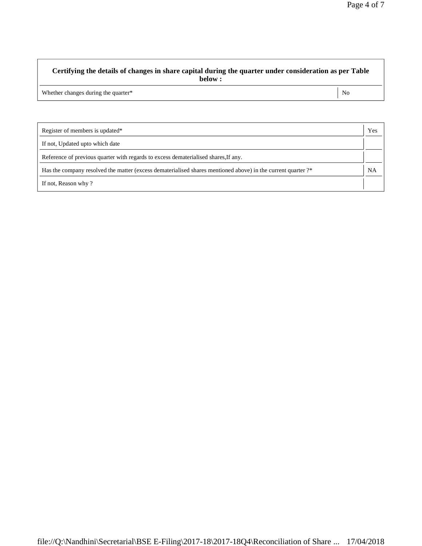## **Certifying the details of changes in share capital during the quarter under consideration as per Table below :**

Whether changes during the quarter\* No

| Register of members is updated*                                                                              | Yes |
|--------------------------------------------------------------------------------------------------------------|-----|
| If not, Updated upto which date                                                                              |     |
| Reference of previous quarter with regards to excess dematerialised shares, If any.                          |     |
| Has the company resolved the matter (excess dematerialised shares mentioned above) in the current quarter ?* |     |
| If not, Reason why?                                                                                          |     |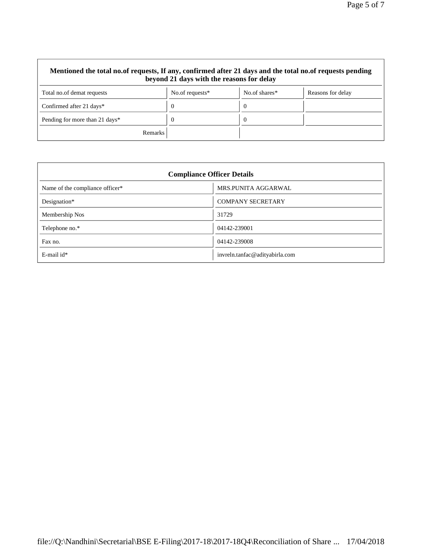| Mentioned the total no.of requests, If any, confirmed after 21 days and the total no.of requests pending<br>beyond 21 days with the reasons for delay |                    |               |                   |
|-------------------------------------------------------------------------------------------------------------------------------------------------------|--------------------|---------------|-------------------|
| Total no.of demat requests                                                                                                                            | No.of requests $*$ | No.of shares* | Reasons for delay |
| Confirmed after 21 days*                                                                                                                              | $\Omega$           | $\theta$      |                   |
| Pending for more than 21 days*                                                                                                                        | $\theta$           | -0            |                   |
| <b>Remarks</b>                                                                                                                                        |                    |               |                   |

| <b>Compliance Officer Details</b> |                                |  |
|-----------------------------------|--------------------------------|--|
| Name of the compliance officer*   | MRS.PUNITA AGGARWAL            |  |
| Designation*                      | <b>COMPANY SECRETARY</b>       |  |
| Membership Nos                    | 31729                          |  |
| Telephone no.*                    | 04142-239001                   |  |
| Fax no.                           | 04142-239008                   |  |
| $E$ -mail id*                     | invreln.tanfac@adityabirla.com |  |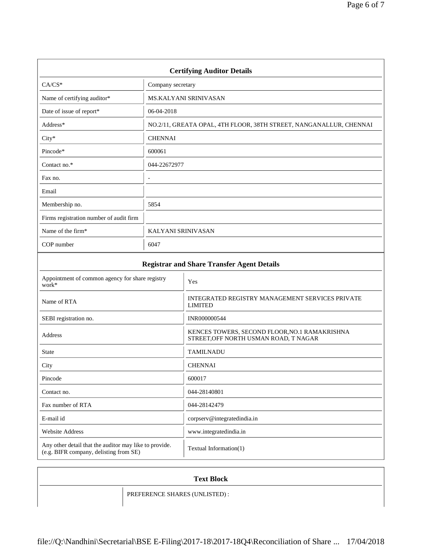| <b>Certifying Auditor Details</b>                 |                                                                    |  |
|---------------------------------------------------|--------------------------------------------------------------------|--|
| $CA/CS*$                                          | Company secretary                                                  |  |
| Name of certifying auditor*                       | <b>MS.KALYANI SRINIVASAN</b>                                       |  |
| Date of issue of report*                          | 06-04-2018                                                         |  |
| Address*                                          | NO.2/11, GREATA OPAL, 4TH FLOOR, 38TH STREET, NANGANALLUR, CHENNAI |  |
| $City*$                                           | <b>CHENNAI</b>                                                     |  |
| Pincode*                                          | 600061                                                             |  |
| Contact no.*                                      | 044-22672977                                                       |  |
| Fax no.                                           |                                                                    |  |
| Email                                             |                                                                    |  |
| Membership no.                                    | 5854                                                               |  |
| Firms registration number of audit firm           |                                                                    |  |
| Name of the firm*                                 | KALYANI SRINIVASAN                                                 |  |
| COP number                                        | 6047                                                               |  |
| <b>Registrar and Share Transfer Agent Details</b> |                                                                    |  |
| Appointment of common agency for share registry   |                                                                    |  |

| Appointment of common agency for share registry<br>work*                                         | Yes                                                                                    |
|--------------------------------------------------------------------------------------------------|----------------------------------------------------------------------------------------|
| Name of RTA                                                                                      | INTEGRATED REGISTRY MANAGEMENT SERVICES PRIVATE<br><b>LIMITED</b>                      |
| SEBI registration no.                                                                            | INR000000544                                                                           |
| Address                                                                                          | KENCES TOWERS, SECOND FLOOR, NO.1 RAMAKRISHNA<br>STREET, OFF NORTH USMAN ROAD, T NAGAR |
| <b>State</b>                                                                                     | <b>TAMILNADU</b>                                                                       |
| City                                                                                             | <b>CHENNAI</b>                                                                         |
| Pincode                                                                                          | 600017                                                                                 |
| Contact no.                                                                                      | 044-28140801                                                                           |
| Fax number of RTA                                                                                | 044-28142479                                                                           |
| E-mail id                                                                                        | corpserv@integratedindia.in                                                            |
| <b>Website Address</b>                                                                           | www.integratedindia.in                                                                 |
| Any other detail that the auditor may like to provide.<br>(e.g. BIFR company, delisting from SE) | Textual Information(1)                                                                 |

| <b>Text Block</b> |                               |
|-------------------|-------------------------------|
|                   | PREFERENCE SHARES (UNLISTED): |